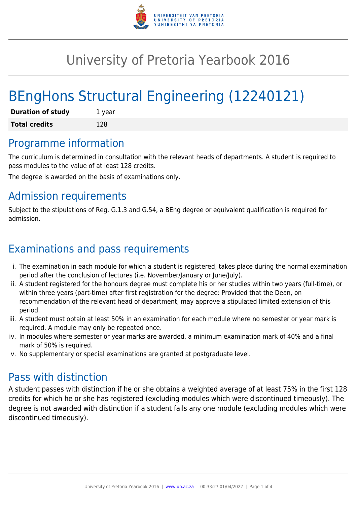

# University of Pretoria Yearbook 2016

# BEngHons Structural Engineering (12240121)

| <b>Duration of study</b> | 1 year |
|--------------------------|--------|
| <b>Total credits</b>     | 128    |

# Programme information

The curriculum is determined in consultation with the relevant heads of departments. A student is required to pass modules to the value of at least 128 credits.

The degree is awarded on the basis of examinations only.

# Admission requirements

Subject to the stipulations of Reg. G.1.3 and G.54, a BEng degree or equivalent qualification is required for admission.

# Examinations and pass requirements

- i. The examination in each module for which a student is registered, takes place during the normal examination period after the conclusion of lectures (i.e. November/January or June/July).
- ii. A student registered for the honours degree must complete his or her studies within two years (full-time), or within three years (part-time) after first registration for the degree: Provided that the Dean, on recommendation of the relevant head of department, may approve a stipulated limited extension of this period.
- iii. A student must obtain at least 50% in an examination for each module where no semester or year mark is required. A module may only be repeated once.
- iv. In modules where semester or year marks are awarded, a minimum examination mark of 40% and a final mark of 50% is required.
- v. No supplementary or special examinations are granted at postgraduate level.

# Pass with distinction

A student passes with distinction if he or she obtains a weighted average of at least 75% in the first 128 credits for which he or she has registered (excluding modules which were discontinued timeously). The degree is not awarded with distinction if a student fails any one module (excluding modules which were discontinued timeously).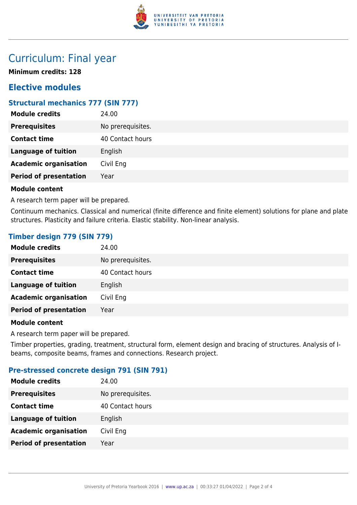

# Curriculum: Final year

**Minimum credits: 128**

# **Elective modules**

## **Structural mechanics 777 (SIN 777)**

| No prerequisites.<br><b>Prerequisites</b> |  |
|-------------------------------------------|--|
| <b>Contact time</b><br>40 Contact hours   |  |
| <b>Language of tuition</b><br>English     |  |
| <b>Academic organisation</b><br>Civil Eng |  |
| <b>Period of presentation</b><br>Year     |  |

### **Module content**

A research term paper will be prepared.

Continuum mechanics. Classical and numerical (finite difference and finite element) solutions for plane and plate structures. Plasticity and failure criteria. Elastic stability. Non-linear analysis.

## **Timber design 779 (SIN 779)**

| 24.00             |
|-------------------|
| No prerequisites. |
| 40 Contact hours  |
| English           |
| Civil Eng         |
| Year              |
|                   |

### **Module content**

A research term paper will be prepared.

Timber properties, grading, treatment, structural form, element design and bracing of structures. Analysis of Ibeams, composite beams, frames and connections. Research project.

### **Pre-stressed concrete design 791 (SIN 791)**

| <b>Module credits</b>         | 24.00             |
|-------------------------------|-------------------|
| <b>Prerequisites</b>          | No prerequisites. |
| <b>Contact time</b>           | 40 Contact hours  |
| Language of tuition           | English           |
| <b>Academic organisation</b>  | Civil Eng         |
| <b>Period of presentation</b> | Year              |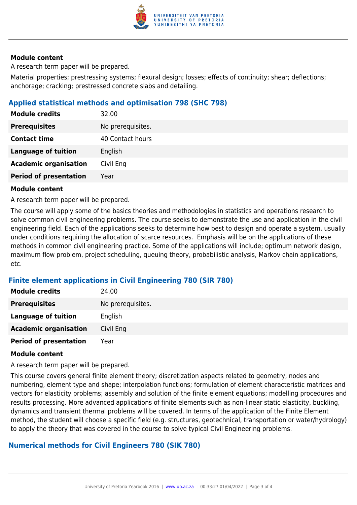

#### **Module content**

A research term paper will be prepared.

Material properties; prestressing systems; flexural design; losses; effects of continuity; shear; deflections; anchorage; cracking; prestressed concrete slabs and detailing.

### **Applied statistical methods and optimisation 798 (SHC 798)**

| <b>Module credits</b>         | 32.00             |
|-------------------------------|-------------------|
| <b>Prerequisites</b>          | No prerequisites. |
| <b>Contact time</b>           | 40 Contact hours  |
| <b>Language of tuition</b>    | English           |
| <b>Academic organisation</b>  | Civil Eng         |
| <b>Period of presentation</b> | Year              |

#### **Module content**

A research term paper will be prepared.

The course will apply some of the basics theories and methodologies in statistics and operations research to solve common civil engineering problems. The course seeks to demonstrate the use and application in the civil engineering field. Each of the applications seeks to determine how best to design and operate a system, usually under conditions requiring the allocation of scarce resources. Emphasis will be on the applications of these methods in common civil engineering practice. Some of the applications will include; optimum network design, maximum flow problem, project scheduling, queuing theory, probabilistic analysis, Markov chain applications, etc.

### **Finite element applications in Civil Engineering 780 (SIR 780)**

| <b>Module credits</b>         | 24.00             |
|-------------------------------|-------------------|
| <b>Prerequisites</b>          | No prerequisites. |
| <b>Language of tuition</b>    | English           |
| <b>Academic organisation</b>  | Civil Eng         |
| <b>Period of presentation</b> | Year              |

### **Module content**

A research term paper will be prepared.

This course covers general finite element theory; discretization aspects related to geometry, nodes and numbering, element type and shape; interpolation functions; formulation of element characteristic matrices and vectors for elasticity problems; assembly and solution of the finite element equations; modelling procedures and results processing. More advanced applications of finite elements such as non-linear static elasticity, buckling, dynamics and transient thermal problems will be covered. In terms of the application of the Finite Element method, the student will choose a specific field (e.g. structures, geotechnical, transportation or water/hydrology) to apply the theory that was covered in the course to solve typical Civil Engineering problems.

### **Numerical methods for Civil Engineers 780 (SIK 780)**